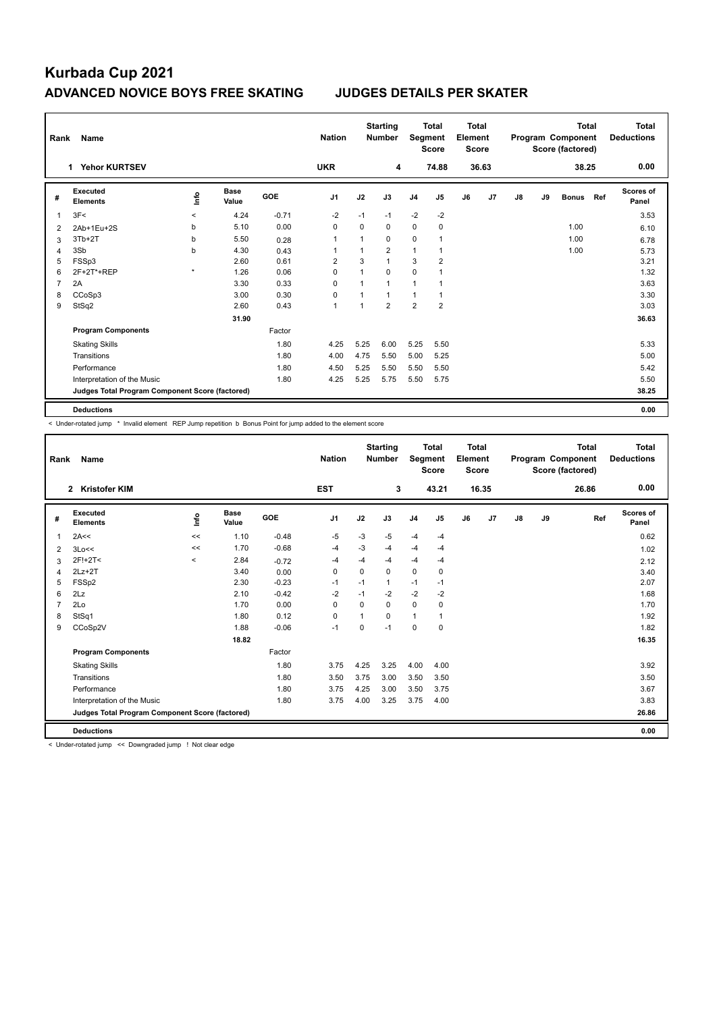## **Kurbada Cup 2021 ADVANCED NOVICE BOYS FREE SKATING JUDGES DETAILS PER SKATER**

| Rank           | Name                                            |         |                      |            |                |          | <b>Starting</b><br><b>Number</b> | Segment        | <b>Total</b><br><b>Score</b> | <b>Total</b><br>Element<br><b>Score</b> |       | <b>Total</b><br>Program Component<br>Score (factored) |    |              |      | Total<br><b>Deductions</b> |
|----------------|-------------------------------------------------|---------|----------------------|------------|----------------|----------|----------------------------------|----------------|------------------------------|-----------------------------------------|-------|-------------------------------------------------------|----|--------------|------|----------------------------|
|                | <b>Yehor KURTSEV</b><br>1                       |         |                      |            | <b>UKR</b>     |          | 4                                |                | 74.88                        |                                         | 36.63 |                                                       |    | 38.25        | 0.00 |                            |
| #              | Executed<br><b>Elements</b>                     | ١nfo    | <b>Base</b><br>Value | <b>GOE</b> | J <sub>1</sub> | J2       | J3                               | J <sub>4</sub> | J <sub>5</sub>               | J6                                      | J7    | J8                                                    | J9 | <b>Bonus</b> | Ref  | <b>Scores of</b><br>Panel  |
| 1              | 3F<                                             | $\prec$ | 4.24                 | $-0.71$    | $-2$           | $-1$     | $-1$                             | $-2$           | $-2$                         |                                         |       |                                                       |    |              |      | 3.53                       |
| $\overline{2}$ | 2Ab+1Eu+2S                                      | b       | 5.10                 | 0.00       | 0              | $\Omega$ | 0                                | $\mathbf 0$    | $\mathbf 0$                  |                                         |       |                                                       |    | 1.00         |      | 6.10                       |
| 3              | $3Tb+2T$                                        | b       | 5.50                 | 0.28       | 1              |          | 0                                | $\mathbf 0$    | 1                            |                                         |       |                                                       |    | 1.00         |      | 6.78                       |
| 4              | 3Sb                                             | b       | 4.30                 | 0.43       | 1              |          | $\overline{2}$                   | 1              | 1                            |                                         |       |                                                       |    | 1.00         |      | 5.73                       |
| 5              | FSSp3                                           |         | 2.60                 | 0.61       | $\overline{2}$ | 3        | $\mathbf{1}$                     | 3              | $\overline{2}$               |                                         |       |                                                       |    |              |      | 3.21                       |
| 6              | 2F+2T*+REP                                      | $\star$ | 1.26                 | 0.06       | 0              |          | $\Omega$                         | $\mathbf 0$    |                              |                                         |       |                                                       |    |              |      | 1.32                       |
| $\overline{7}$ | 2A                                              |         | 3.30                 | 0.33       | 0              |          | $\mathbf 1$                      | 1              |                              |                                         |       |                                                       |    |              |      | 3.63                       |
| 8              | CCoSp3                                          |         | 3.00                 | 0.30       | 0              |          | 1                                | 1              | 1                            |                                         |       |                                                       |    |              |      | 3.30                       |
| 9              | StSq2                                           |         | 2.60                 | 0.43       | $\overline{1}$ |          | $\overline{2}$                   | $\overline{2}$ | $\overline{2}$               |                                         |       |                                                       |    |              |      | 3.03                       |
|                |                                                 |         | 31.90                |            |                |          |                                  |                |                              |                                         |       |                                                       |    |              |      | 36.63                      |
|                | <b>Program Components</b>                       |         |                      | Factor     |                |          |                                  |                |                              |                                         |       |                                                       |    |              |      |                            |
|                | <b>Skating Skills</b>                           |         |                      | 1.80       | 4.25           | 5.25     | 6.00                             | 5.25           | 5.50                         |                                         |       |                                                       |    |              |      | 5.33                       |
|                | Transitions                                     |         |                      | 1.80       | 4.00           | 4.75     | 5.50                             | 5.00           | 5.25                         |                                         |       |                                                       |    |              |      | 5.00                       |
|                | Performance                                     |         |                      | 1.80       | 4.50           | 5.25     | 5.50                             | 5.50           | 5.50                         |                                         |       |                                                       |    |              |      | 5.42                       |
|                | Interpretation of the Music                     |         |                      | 1.80       | 4.25           | 5.25     | 5.75                             | 5.50           | 5.75                         |                                         |       |                                                       |    |              |      | 5.50                       |
|                | Judges Total Program Component Score (factored) |         |                      |            |                |          |                                  |                |                              |                                         |       |                                                       |    |              |      | 38.25                      |
|                | <b>Deductions</b>                               |         |                      |            |                |          |                                  |                |                              |                                         |       |                                                       |    |              |      | 0.00                       |

< Under-rotated jump \* Invalid element REP Jump repetition b Bonus Point for jump added to the element score

| Rank           | Name                                            |         |                      | <b>Nation</b> |                | <b>Starting</b><br><b>Number</b> | Segment      | <b>Total</b><br><b>Score</b> | <b>Total</b><br>Element<br><b>Score</b> |    | Program Component |               | <b>Total</b><br>Score (factored) | <b>Total</b><br><b>Deductions</b> |                    |
|----------------|-------------------------------------------------|---------|----------------------|---------------|----------------|----------------------------------|--------------|------------------------------|-----------------------------------------|----|-------------------|---------------|----------------------------------|-----------------------------------|--------------------|
|                | 2 Kristofer KIM                                 |         |                      |               | <b>EST</b>     |                                  | 3            |                              | 43.21                                   |    | 16.35             |               |                                  | 26.86                             | 0.00               |
| #              | Executed<br><b>Elements</b>                     | lnfo    | <b>Base</b><br>Value | <b>GOE</b>    | J <sub>1</sub> | J2                               | J3           | J <sub>4</sub>               | J5                                      | J6 | J7                | $\mathsf{J}8$ | J9                               | Ref                               | Scores of<br>Panel |
| $\mathbf{1}$   | 2A<<                                            | <<      | 1.10                 | $-0.48$       | $-5$           | $-3$                             | $-5$         | $-4$                         | $-4$                                    |    |                   |               |                                  |                                   | 0.62               |
| 2              | 3Lo<<                                           | <<      | 1.70                 | $-0.68$       | $-4$           | $-3$                             | $-4$         | $-4$                         | $-4$                                    |    |                   |               |                                  |                                   | 1.02               |
| 3              | 2F!+2T<                                         | $\prec$ | 2.84                 | $-0.72$       | -4             | $-4$                             | $-4$         | $-4$                         | $-4$                                    |    |                   |               |                                  |                                   | 2.12               |
| $\overline{4}$ | $2Lz+2T$                                        |         | 3.40                 | 0.00          | $\Omega$       | $\Omega$                         | $\Omega$     | $\mathbf 0$                  | 0                                       |    |                   |               |                                  |                                   | 3.40               |
| 5              | FSSp2                                           |         | 2.30                 | $-0.23$       | $-1$           | $-1$                             | $\mathbf{1}$ | $-1$                         | $-1$                                    |    |                   |               |                                  |                                   | 2.07               |
| 6              | 2Lz                                             |         | 2.10                 | $-0.42$       | $-2$           | $-1$                             | $-2$         | $-2$                         | $-2$                                    |    |                   |               |                                  |                                   | 1.68               |
| $\overline{7}$ | 2Lo                                             |         | 1.70                 | 0.00          | 0              | $\Omega$                         | 0            | $\mathbf 0$                  | 0                                       |    |                   |               |                                  |                                   | 1.70               |
| 8              | StSq1                                           |         | 1.80                 | 0.12          | 0              | 1                                | 0            | $\mathbf{1}$                 | 1                                       |    |                   |               |                                  |                                   | 1.92               |
| 9              | CCoSp2V                                         |         | 1.88                 | $-0.06$       | $-1$           | 0                                | $-1$         | 0                            | 0                                       |    |                   |               |                                  |                                   | 1.82               |
|                |                                                 |         | 18.82                |               |                |                                  |              |                              |                                         |    |                   |               |                                  |                                   | 16.35              |
|                | <b>Program Components</b>                       |         |                      | Factor        |                |                                  |              |                              |                                         |    |                   |               |                                  |                                   |                    |
|                | <b>Skating Skills</b>                           |         |                      | 1.80          | 3.75           | 4.25                             | 3.25         | 4.00                         | 4.00                                    |    |                   |               |                                  |                                   | 3.92               |
|                | Transitions                                     |         |                      | 1.80          | 3.50           | 3.75                             | 3.00         | 3.50                         | 3.50                                    |    |                   |               |                                  |                                   | 3.50               |
|                | Performance                                     |         |                      | 1.80          | 3.75           | 4.25                             | 3.00         | 3.50                         | 3.75                                    |    |                   |               |                                  |                                   | 3.67               |
|                | Interpretation of the Music                     |         |                      | 1.80          | 3.75           | 4.00                             | 3.25         | 3.75                         | 4.00                                    |    |                   |               |                                  |                                   | 3.83               |
|                | Judges Total Program Component Score (factored) |         |                      |               |                |                                  |              |                              |                                         |    |                   |               |                                  |                                   | 26.86              |
|                | <b>Deductions</b>                               |         |                      |               |                |                                  |              |                              |                                         |    |                   |               |                                  |                                   | 0.00               |

< Under-rotated jump << Downgraded jump ! Not clear edge